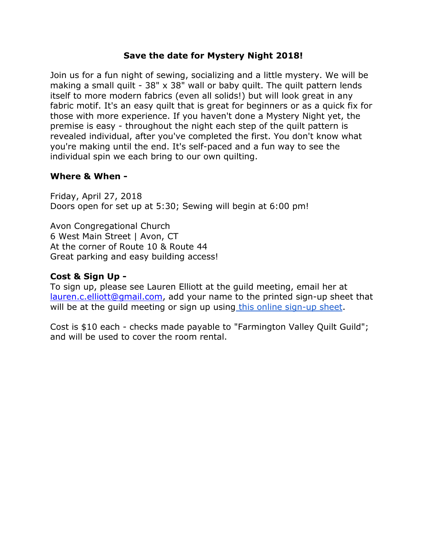### **Save the date for Mystery Night 2018!**

Join us for a fun night of sewing, socializing and a little mystery. We will be making a small quilt - 38" x 38" wall or baby quilt. The quilt pattern lends itself to more modern fabrics (even all solids!) but will look great in any fabric motif. It's an easy quilt that is great for beginners or as a quick fix for those with more experience. If you haven't done a Mystery Night yet, the premise is easy - throughout the night each step of the quilt pattern is revealed individual, after you've completed the first. You don't know what you're making until the end. It's self-paced and a fun way to see the individual spin we each bring to our own quilting.

#### **Where & When -**

Friday, April 27, 2018 Doors open for set up at 5:30; Sewing will begin at 6:00 pm!

Avon Congregational Church 6 West Main Street | Avon, CT At the corner of Route 10 & Route 44 Great parking and easy building access!

### **Cost & Sign Up -**

To sign up, please see Lauren Elliott at the guild meeting, email her at [lauren.c.elliott@gmail.com,](mailto:lauren.c.elliott@gmail.com) add your name to the printed sign-up sheet that will be at the quild meeting or sign up using [this online sign-up](https://docs.google.com/spreadsheets/d/1D8CrgG2GX5r5PqdbQB3_oKOglaAIIvnY_3JTfYomsJk/edit?usp=sharing) sheet.

Cost is \$10 each - checks made payable to "Farmington Valley Quilt Guild"; and will be used to cover the room rental.